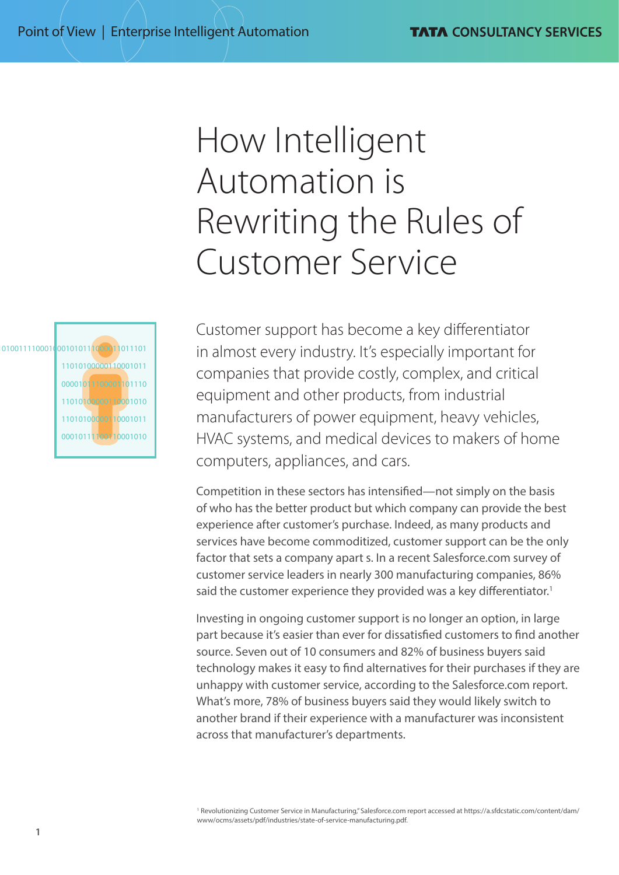# How Intelligent Automation is Rewriting the Rules of Customer Service

01001111000100010111000011011101 11010100000110001011 00001011100001101110 11010100000110001010 11010100000110001011 00010111100110001010 Customer support has become a key differentiator in almost every industry. It's especially important for companies that provide costly, complex, and critical equipment and other products, from industrial manufacturers of power equipment, heavy vehicles, HVAC systems, and medical devices to makers of home computers, appliances, and cars.

Competition in these sectors has intensified—not simply on the basis of who has the better product but which company can provide the best experience after customer's purchase. Indeed, as many products and services have become commoditized, customer support can be the only factor that sets a company apart s. In a recent Salesforce.com survey of customer service leaders in nearly 300 manufacturing companies, 86% said the customer experience they provided was a key differentiator.<sup>1</sup>

Investing in ongoing customer support is no longer an option, in large part because it's easier than ever for dissatisfied customers to find another source. Seven out of 10 consumers and 82% of business buyers said technology makes it easy to find alternatives for their purchases if they are unhappy with customer service, according to the Salesforce.com report. What's more, 78% of business buyers said they would likely switch to another brand if their experience with a manufacturer was inconsistent across that manufacturer's departments.

<sup>1</sup> Revolutionizing Customer Service in Manufacturing," Salesforce.com report accessed at [https://a.sfdcstatic.com/content/dam/](https://a.sfdcstatic.com/content/dam/www/ocms/assets/pdf/industries/state-of-service-manufacturing.pdf) [www/ocms/assets/pdf/industries/state-of-service-manufacturing.pdf.](https://a.sfdcstatic.com/content/dam/www/ocms/assets/pdf/industries/state-of-service-manufacturing.pdf)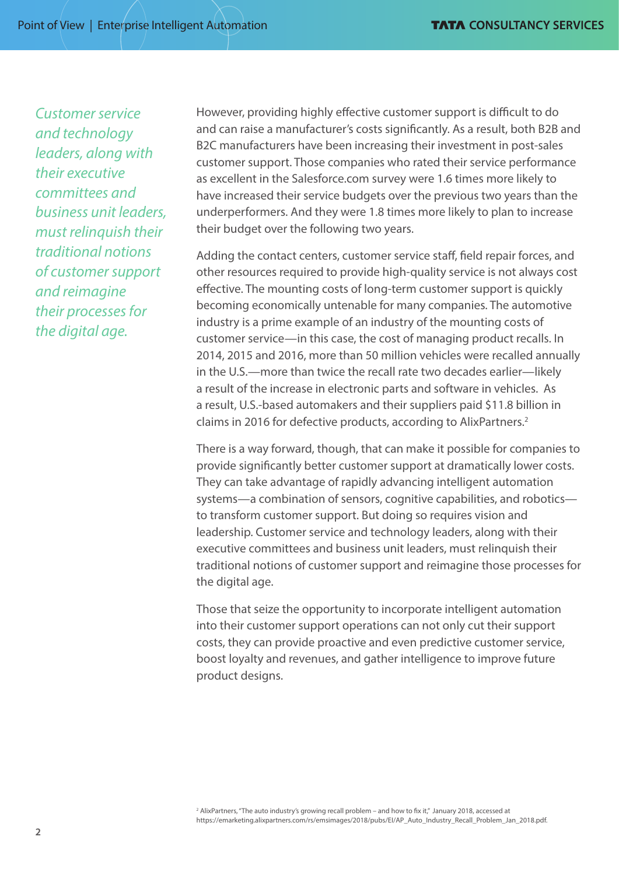*Customer service and technology leaders, along with their executive committees and business unit leaders, must relinquish their traditional notions of customer support and reimagine their processes for the digital age.*

However, providing highly effective customer support is difficult to do and can raise a manufacturer's costs significantly. As a result, both B2B and B2C manufacturers have been increasing their investment in post-sales customer support. Those companies who rated their service performance as excellent in the Salesforce.com survey were 1.6 times more likely to have increased their service budgets over the previous two years than the underperformers. And they were 1.8 times more likely to plan to increase their budget over the following two years.

Adding the contact centers, customer service staff, field repair forces, and other resources required to provide high-quality service is not always cost effective. The mounting costs of long-term customer support is quickly becoming economically untenable for many companies. The automotive industry is a prime example of an industry of the mounting costs of customer service—in this case, the cost of managing product recalls. In 2014, 2015 and 2016, more than 50 million vehicles were recalled annually in the U.S.—more than twice the recall rate two decades earlier—likely a result of the increase in electronic parts and software in vehicles. As a result, U.S.-based automakers and their suppliers paid \$11.8 billion in claims in 2016 for defective products, according to AlixPartners.2

There is a way forward, though, that can make it possible for companies to provide significantly better customer support at dramatically lower costs. They can take advantage of rapidly advancing intelligent automation systems—a combination of sensors, cognitive capabilities, and robotics to transform customer support. But doing so requires vision and leadership. Customer service and technology leaders, along with their executive committees and business unit leaders, must relinquish their traditional notions of customer support and reimagine those processes for the digital age.

Those that seize the opportunity to incorporate intelligent automation into their customer support operations can not only cut their support costs, they can provide proactive and even predictive customer service, boost loyalty and revenues, and gather intelligence to improve future product designs.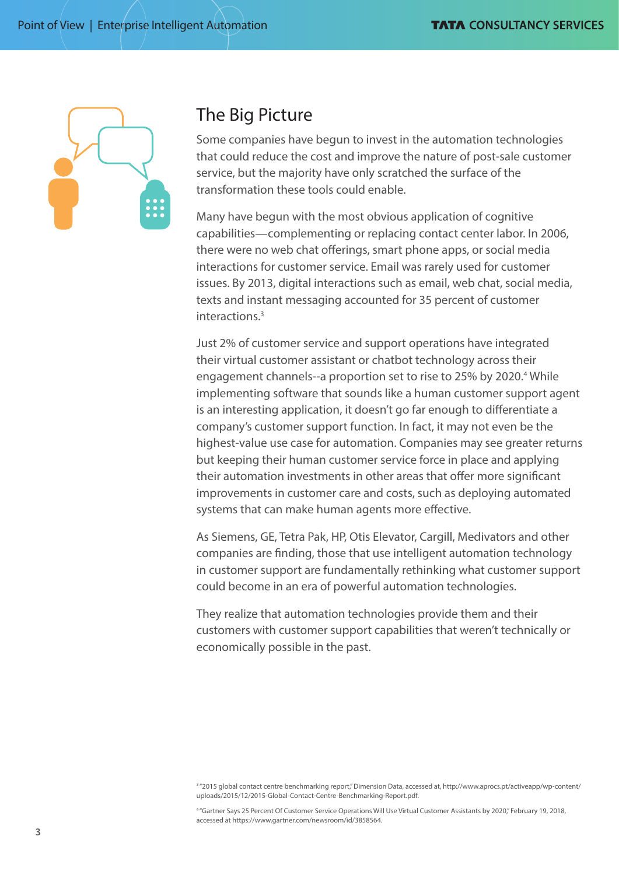

#### The Big Picture

Some companies have begun to invest in the automation technologies that could reduce the cost and improve the nature of post-sale customer service, but the majority have only scratched the surface of the transformation these tools could enable.

Many have begun with the most obvious application of cognitive capabilities—complementing or replacing contact center labor. In 2006, there were no web chat offerings, smart phone apps, or social media interactions for customer service. Email was rarely used for customer issues. By 2013, digital interactions such as email, web chat, social media, texts and instant messaging accounted for 35 percent of customer interactions.3

Just 2% of customer service and support operations have integrated their virtual customer assistant or chatbot technology across their engagement channels--a proportion set to rise to 25% by 2020.<sup>4</sup> While implementing software that sounds like a human customer support agent is an interesting application, it doesn't go far enough to differentiate a company's customer support function. In fact, it may not even be the highest-value use case for automation. Companies may see greater returns but keeping their human customer service force in place and applying their automation investments in other areas that offer more significant improvements in customer care and costs, such as deploying automated systems that can make human agents more effective.

As Siemens, GE, Tetra Pak, HP, Otis Elevator, Cargill, Medivators and other companies are finding, those that use intelligent automation technology in customer support are fundamentally rethinking what customer support could become in an era of powerful automation technologies.

They realize that automation technologies provide them and their customers with customer support capabilities that weren't technically or economically possible in the past.

4 "Gartner Says 25 Percent Of Customer Service Operations Will Use Virtual Customer Assistants by 2020," February 19, 2018, accessed at https://www.gartner.com/newsroom/id/3858564.

<sup>&</sup>lt;sup>3</sup> "2015 global contact centre benchmarking report," Dimension Data, accessed at, [http://www.aprocs.pt/activeapp/wp-content/](http://www.aprocs.pt/activeapp/wp-content/uploads/2015/12/2015-Global-Contact-Centre-Benchmarking-Report.pdf) [uploads/2015/12/2015-Global-Contact-Centre-Benchmarking-Report.pdf.](http://www.aprocs.pt/activeapp/wp-content/uploads/2015/12/2015-Global-Contact-Centre-Benchmarking-Report.pdf)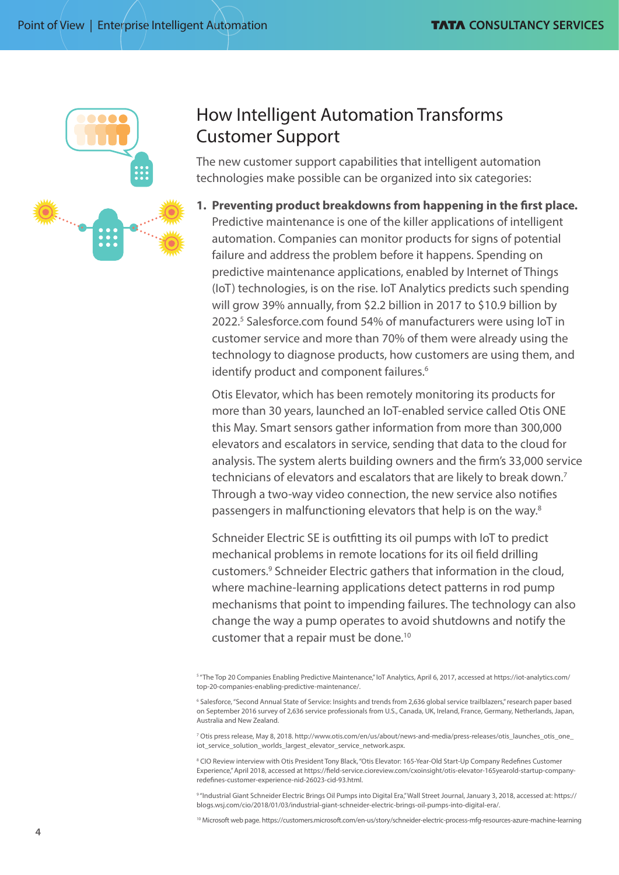

## How Intelligent Automation Transforms Customer Support

The new customer support capabilities that intelligent automation technologies make possible can be organized into six categories:

**1. Preventing product breakdowns from happening in the first place.** Predictive maintenance is one of the killer applications of intelligent automation. Companies can monitor products for signs of potential failure and address the problem before it happens. Spending on predictive maintenance applications, enabled by Internet of Things (IoT) technologies, is on the rise. IoT Analytics predicts such spending will grow 39% annually, from \$2.2 billion in 2017 to \$10.9 billion by 2022.5 Salesforce.com found 54% of manufacturers were using IoT in customer service and more than 70% of them were already using the technology to diagnose products, how customers are using them, and identify product and component failures.<sup>6</sup>

Otis Elevator, which has been remotely monitoring its products for more than 30 years, launched an IoT-enabled service called Otis ONE this May. Smart sensors gather information from more than 300,000 elevators and escalators in service, sending that data to the cloud for analysis. The system alerts building owners and the firm's 33,000 service technicians of elevators and escalators that are likely to break down.<sup>7</sup> Through a two-way video connection, the new service also notifies passengers in malfunctioning elevators that help is on the way.<sup>8</sup>

Schneider Electric SE is outfitting its oil pumps with IoT to predict mechanical problems in remote locations for its oil field drilling customers.9 Schneider Electric gathers that information in the cloud, where machine-learning applications detect patterns in rod pump mechanisms that point to impending failures. The technology can also change the way a pump operates to avoid shutdowns and notify the customer that a repair must be done.10

5 "The Top 20 Companies Enabling Predictive Maintenance," IoT Analytics, April 6, 2017, accessed at [https://iot-analytics.com/](https://iot-analytics.com/top-20-companies-enabling-predictive-maintenance/) [top-20-companies-enabling-predictive-maintenance/](https://iot-analytics.com/top-20-companies-enabling-predictive-maintenance/).

7 Otis press release, May 8, 2018. [http://www.otis.com/en/us/about/news-and-media/press-releases/otis\\_launches\\_otis\\_one\\_](http://www.otis.com/en/us/about/news-and-media/press-releases/otis_launches_otis_one_iot_service_solution_worlds_largest_elevator_service_network.aspx) [iot\\_service\\_solution\\_worlds\\_largest\\_elevator\\_service\\_network.aspx](http://www.otis.com/en/us/about/news-and-media/press-releases/otis_launches_otis_one_iot_service_solution_worlds_largest_elevator_service_network.aspx).

<sup>8</sup> CIO Review interview with Otis President Tony Black, "Otis Elevator: 165-Year-Old Start-Up Company Redefines Customer Experience," April 2018, accessed at https://field-service.cioreview.com/cxoinsight/otis-elevator-165yearold-startup-companyredefines-customer-experience-nid-26023-cid-93.html.

9 "Industrial Giant Schneider Electric Brings Oil Pumps into Digital Era," Wall Street Journal, January 3, 2018, accessed at: https:// blogs.wsj.com/cio/2018/01/03/industrial-giant-schneider-electric-brings-oil-pumps-into-digital-era/.

10 Microsoft web page. https://customers.microsoft.com/en-us/story/schneider-electric-process-mfg-resources-azure-machine-learning

<sup>6</sup> Salesforce, "Second Annual State of Service: Insights and trends from 2,636 global service trailblazers," research paper based on September 2016 survey of 2,636 service professionals from U.S., Canada, UK, Ireland, France, Germany, Netherlands, Japan, Australia and New Zealand.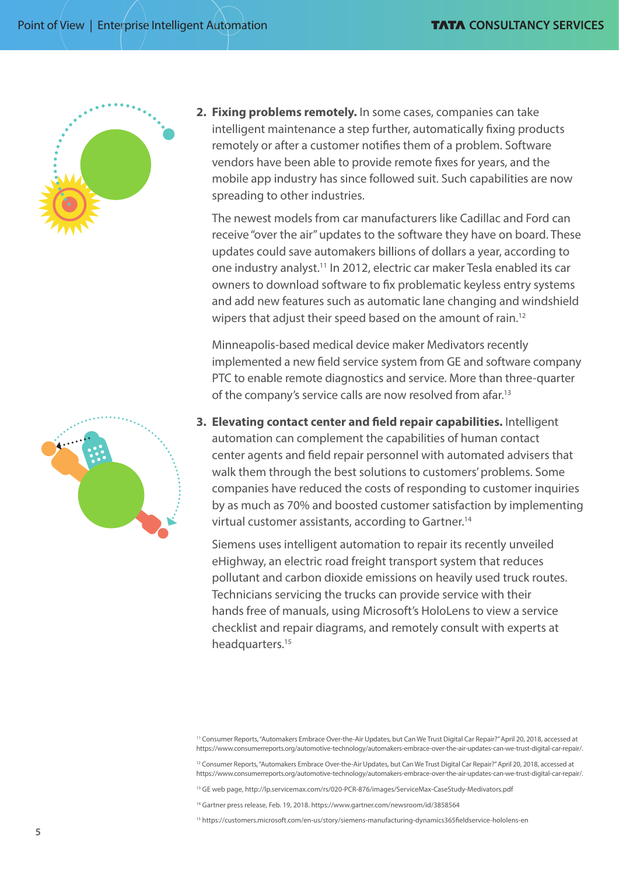

**2. Fixing problems remotely.** In some cases, companies can take intelligent maintenance a step further, automatically fixing products remotely or after a customer notifies them of a problem. Software vendors have been able to provide remote fixes for years, and the mobile app industry has since followed suit. Such capabilities are now spreading to other industries.

The newest models from car manufacturers like Cadillac and Ford can receive "over the air" updates to the software they have on board. These updates could save automakers billions of dollars a year, according to one industry analyst.<sup>11</sup> In 2012, electric car maker Tesla enabled its car owners to download software to fix problematic keyless entry systems and add new features such as automatic lane changing and windshield wipers that adjust their speed based on the amount of rain.<sup>12</sup>

Minneapolis-based medical device maker Medivators recently implemented a new field service system from GE and software company PTC to enable remote diagnostics and service. More than three-quarter of the company's service calls are now resolved from afar.<sup>13</sup>

**3. Elevating contact center and field repair capabilities.** Intelligent automation can complement the capabilities of human contact center agents and field repair personnel with automated advisers that walk them through the best solutions to customers' problems. Some companies have reduced the costs of responding to customer inquiries by as much as 70% and boosted customer satisfaction by implementing virtual customer assistants, according to Gartner.14

Siemens uses intelligent automation to repair its recently unveiled eHighway, an electric road freight transport system that reduces pollutant and carbon dioxide emissions on heavily used truck routes. Technicians servicing the trucks can provide service with their hands free of manuals, using Microsoft's HoloLens to view a service checklist and repair diagrams, and remotely consult with experts at headquarters.<sup>15</sup>

<sup>12</sup> Consumer Reports, "Automakers Embrace Over-the-Air Updates, but Can We Trust Digital Car Repair?" April 20, 2018, accessed at https://www.consumerreports.org/automotive-technology/automakers-embrace-over-the-air-updates-can-we-trust-digital-car-repair/.

13 GE web page, http://lp.servicemax.com/rs/020-PCR-876/images/ServiceMax-CaseStudy-Medivators.pdf

<sup>14</sup> Gartner press release, Feb. 19, 2018. https://www.gartner.com/newsroom/id/3858564

15 https://customers.microsoft.com/en-us/story/siemens-manufacturing-dynamics365fieldservice-hololens-en

<sup>&</sup>lt;sup>11</sup> Consumer Reports, "Automakers Embrace Over-the-Air Updates, but Can We Trust Digital Car Repair?" April 20, 2018, accessed at https://www.consumerreports.org/automotive-technology/automakers-embrace-over-the-air-updates-can-we-trust-digital-car-repair/.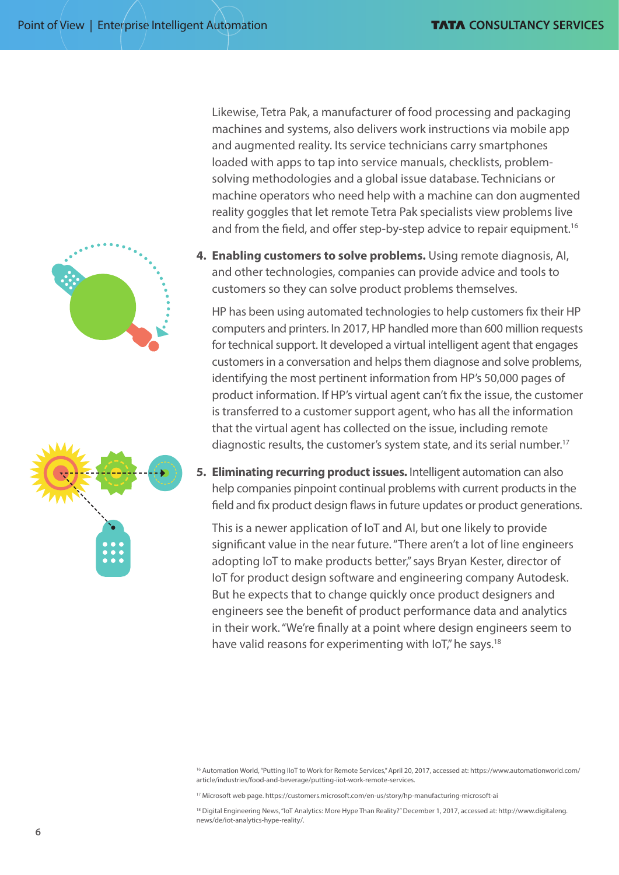

Likewise, Tetra Pak, a manufacturer of food processing and packaging machines and systems, also delivers work instructions via mobile app and augmented reality. Its service technicians carry smartphones loaded with apps to tap into service manuals, checklists, problemsolving methodologies and a global issue database. Technicians or machine operators who need help with a machine can don augmented reality goggles that let remote Tetra Pak specialists view problems live and from the field, and offer step-by-step advice to repair equipment.<sup>16</sup>

**4. Enabling customers to solve problems.** Using remote diagnosis, AI, and other technologies, companies can provide advice and tools to customers so they can solve product problems themselves.

HP has been using automated technologies to help customers fix their HP computers and printers. In 2017, HP handled more than 600 million requests for technical support. It developed a virtual intelligent agent that engages customers in a conversation and helps them diagnose and solve problems, identifying the most pertinent information from HP's 50,000 pages of product information. If HP's virtual agent can't fix the issue, the customer is transferred to a customer support agent, who has all the information that the virtual agent has collected on the issue, including remote diagnostic results, the customer's system state, and its serial number.17

**5. Eliminating recurring product issues.** Intelligent automation can also help companies pinpoint continual problems with current products in the field and fix product design flaws in future updates or product generations.

This is a newer application of IoT and AI, but one likely to provide significant value in the near future. "There aren't a lot of line engineers adopting IoT to make products better," says Bryan Kester, director of IoT for product design software and engineering company Autodesk. But he expects that to change quickly once product designers and engineers see the benefit of product performance data and analytics in their work. "We're finally at a point where design engineers seem to have valid reasons for experimenting with IoT," he says.<sup>18</sup>

17 Microsoft web page. https://customers.microsoft.com/en-us/story/hp-manufacturing-microsoft-ai

<sup>18</sup> Digital Engineering News, "IoT Analytics: More Hype Than Reality?" December 1, 2017, accessed at: [http://www.digitaleng.](http://www.digitaleng.news/de/iot-analytics-hype-reality/) [news/de/iot-analytics-hype-reality/](http://www.digitaleng.news/de/iot-analytics-hype-reality/).

<sup>16</sup> Automation World, "Putting IIoT to Work for Remote Services," April 20, 2017, accessed at: [https://www.automationworld.com/](https://www.automationworld.com/article/industries/food-and-beverage/putting-iiot-work-remote-services) [article/industries/food-and-beverage/putting-iiot-work-remote-services](https://www.automationworld.com/article/industries/food-and-beverage/putting-iiot-work-remote-services).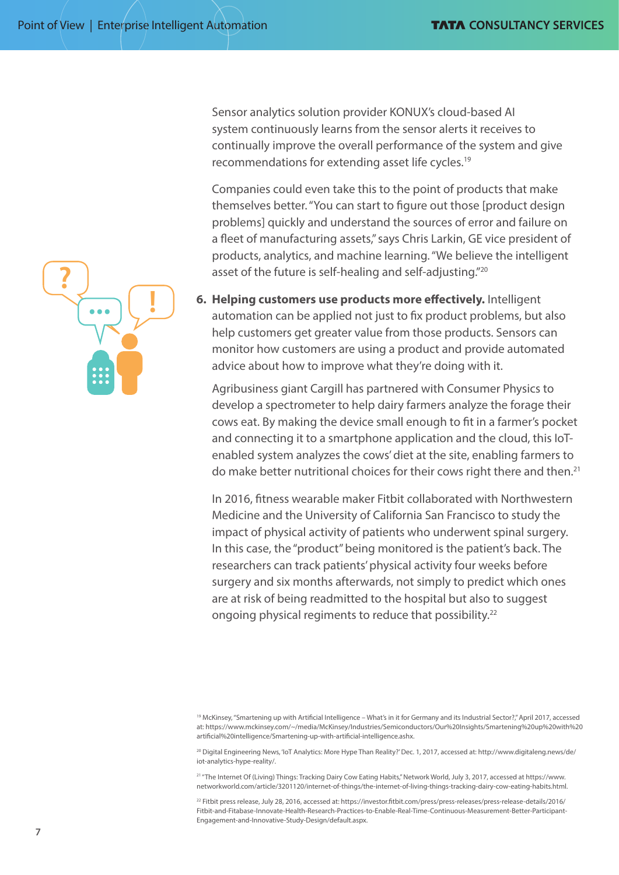Sensor analytics solution provider KONUX's cloud-based AI system continuously learns from the sensor alerts it receives to continually improve the overall performance of the system and give recommendations for extending asset life cycles.<sup>19</sup>

Companies could even take this to the point of products that make themselves better. "You can start to figure out those [product design problems] quickly and understand the sources of error and failure on a fleet of manufacturing assets," says Chris Larkin, GE vice president of products, analytics, and machine learning. "We believe the intelligent asset of the future is self-healing and self-adjusting."20

**6. Helping customers use products more effectively.** Intelligent automation can be applied not just to fix product problems, but also help customers get greater value from those products. Sensors can monitor how customers are using a product and provide automated advice about how to improve what they're doing with it.

Agribusiness giant Cargill has partnered with Consumer Physics to develop a spectrometer to help dairy farmers analyze the forage their cows eat. By making the device small enough to fit in a farmer's pocket and connecting it to a smartphone application and the cloud, this IoTenabled system analyzes the cows' diet at the site, enabling farmers to do make better nutritional choices for their cows right there and then.<sup>21</sup>

In 2016, fitness wearable maker Fitbit collaborated with Northwestern Medicine and the University of California San Francisco to study the impact of physical activity of patients who underwent spinal surgery. In this case, the "product" being monitored is the patient's back. The researchers can track patients' physical activity four weeks before surgery and six months afterwards, not simply to predict which ones are at risk of being readmitted to the hospital but also to suggest ongoing physical regiments to reduce that possibility.<sup>22</sup>

<sup>20</sup> Digital Engineering News, 'IoT Analytics: More Hype Than Reality?' Dec. 1, 2017, accessed at: [http://www.digitaleng.news/de/](http://www.digitaleng.news/de/iot-analytics-hype-reality/) [iot-analytics-hype-reality/](http://www.digitaleng.news/de/iot-analytics-hype-reality/).

21 "The Internet Of (Living) Things: Tracking Dairy Cow Eating Habits," Network World, July 3, 2017, accessed at [https://www.](https://www.networkworld.com/article/3201120/internet-of-things/the-internet-of-living-things-tracking-dairy-cow-eating-habits.html) [networkworld.com/article/3201120/internet-of-things/the-internet-of-living-things-tracking-dairy-cow-eating-habits.html.](https://www.networkworld.com/article/3201120/internet-of-things/the-internet-of-living-things-tracking-dairy-cow-eating-habits.html)

22 Fitbit press release, July 28, 2016, accessed at: [https://investor.fitbit.com/press/press-releases/press-release-details/2016/](https://investor.fitbit.com/press/press-releases/press-release-details/2016/Fitbit-and-Fitabase-Innovate-Health-Research-Practices-to-Enable-Real-Time-Continuous-Measurement-Better-Participant-Engagement-and-Innovative-Study-Design/default.aspx) [Fitbit-and-Fitabase-Innovate-Health-Research-Practices-to-Enable-Real-Time-Continuous-Measurement-Better-Participant-](https://investor.fitbit.com/press/press-releases/press-release-details/2016/Fitbit-and-Fitabase-Innovate-Health-Research-Practices-to-Enable-Real-Time-Continuous-Measurement-Better-Participant-Engagement-and-Innovative-Study-Design/default.aspx)[Engagement-and-Innovative-Study-Design/default.aspx](https://investor.fitbit.com/press/press-releases/press-release-details/2016/Fitbit-and-Fitabase-Innovate-Health-Research-Practices-to-Enable-Real-Time-Continuous-Measurement-Better-Participant-Engagement-and-Innovative-Study-Design/default.aspx).



<sup>19</sup> McKinsey, "Smartening up with Artificial Intelligence – What's in it for Germany and its Industrial Sector?," April 2017, accessed at: [https://www.mckinsey.com/~/media/McKinsey/Industries/Semiconductors/Our%20Insights/Smartening%20up%20with%20](https://www.mckinsey.com/~/media/McKinsey/Industries/Semiconductors/Our%20Insights/Smartening%20up%20with%20artificial%20intelligence/Smartening-up-with-artificial-intelligence.ashx) [artificial%20intelligence/Smartening-up-with-artificial-intelligence.ashx](https://www.mckinsey.com/~/media/McKinsey/Industries/Semiconductors/Our%20Insights/Smartening%20up%20with%20artificial%20intelligence/Smartening-up-with-artificial-intelligence.ashx).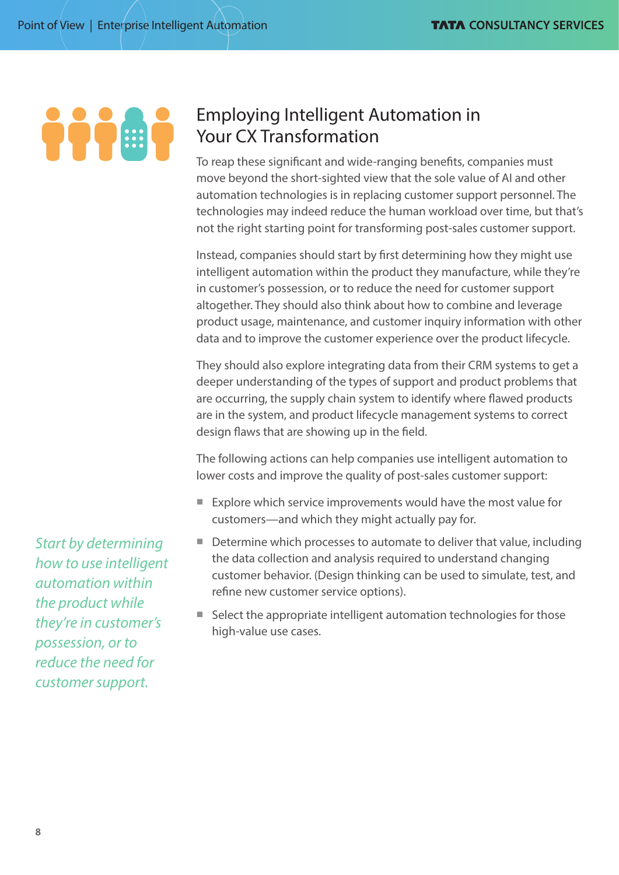# TTT T

# Employing Intelligent Automation in Your CX Transformation

To reap these significant and wide-ranging benefits, companies must move beyond the short-sighted view that the sole value of AI and other automation technologies is in replacing customer support personnel. The technologies may indeed reduce the human workload over time, but that's not the right starting point for transforming post-sales customer support.

Instead, companies should start by first determining how they might use intelligent automation within the product they manufacture, while they're in customer's possession, or to reduce the need for customer support altogether. They should also think about how to combine and leverage product usage, maintenance, and customer inquiry information with other data and to improve the customer experience over the product lifecycle.

They should also explore integrating data from their CRM systems to get a deeper understanding of the types of support and product problems that are occurring, the supply chain system to identify where flawed products are in the system, and product lifecycle management systems to correct design flaws that are showing up in the field.

The following actions can help companies use intelligent automation to lower costs and improve the quality of post-sales customer support:

- $\blacksquare$  Explore which service improvements would have the most value for customers—and which they might actually pay for.
- $\blacksquare$  Determine which processes to automate to deliver that value, including the data collection and analysis required to understand changing customer behavior. (Design thinking can be used to simulate, test, and refine new customer service options).
- $\blacksquare$  Select the appropriate intelligent automation technologies for those high-value use cases.

*Start by determining how to use intelligent automation within the product while they're in customer's possession, or to reduce the need for customer support.*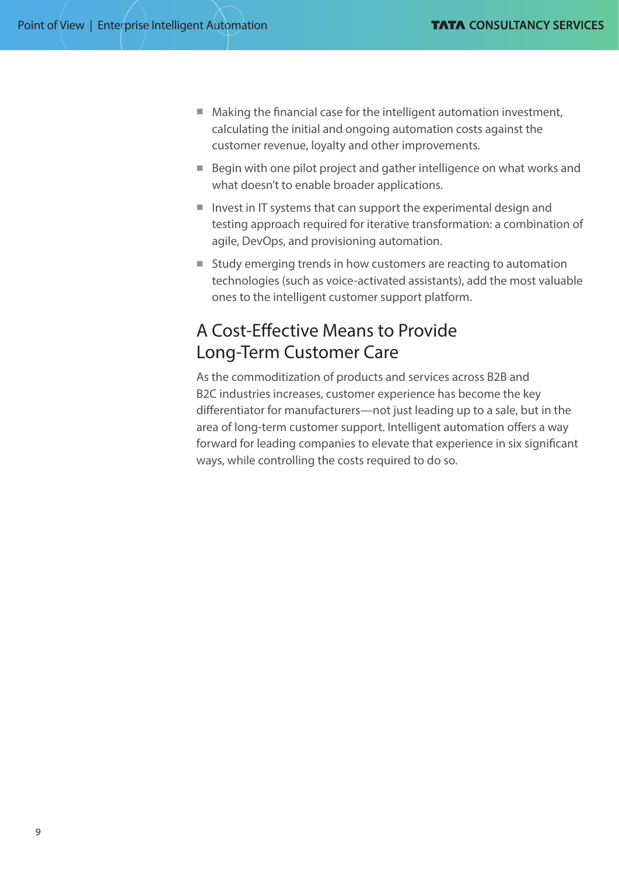- $\blacksquare$  Making the financial case for the intelligent automation investment, calculating the initial and ongoing automation costs against the customer revenue, loyalty and other improvements.
- $\blacksquare$  Begin with one pilot project and gather intelligence on what works and what doesn't to enable broader applications.
- $\blacksquare$  Invest in IT systems that can support the experimental design and testing approach required for iterative transformation: a combination of agile, DevOps, and provisioning automation.
- Study emerging trends in how customers are reacting to automation technologies (such as voice-activated assistants), add the most valuable ones to the intelligent customer support platform.

## A Cost-Effective Means to Provide Long-Term Customer Care

As the commoditization of products and services across B2B and B2C industries increases, customer experience has become the key differentiator for manufacturers—not just leading up to a sale, but in the area of long-term customer support. Intelligent automation offers a way forward for leading companies to elevate that experience in six significant ways, while controlling the costs required to do so.